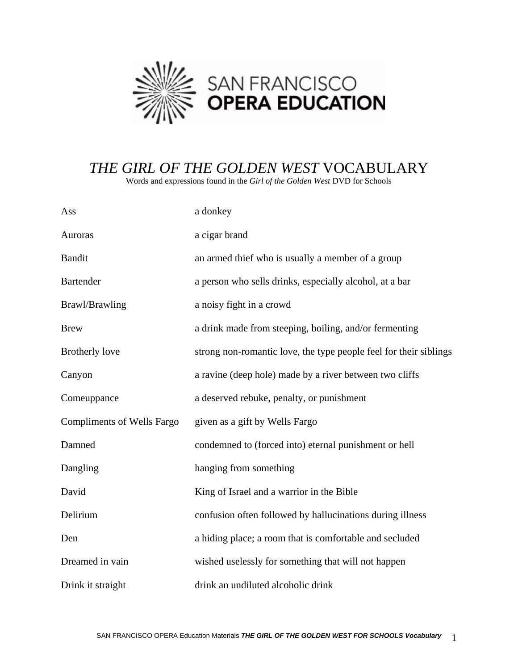

## *THE GIRL OF THE GOLDEN WEST* VOCABULARY

Words and expressions found in the *Girl of the Golden West* DVD for Schools

| Ass                               | a donkey                                                          |
|-----------------------------------|-------------------------------------------------------------------|
| Auroras                           | a cigar brand                                                     |
| <b>Bandit</b>                     | an armed thief who is usually a member of a group                 |
| <b>Bartender</b>                  | a person who sells drinks, especially alcohol, at a bar           |
| Brawl/Brawling                    | a noisy fight in a crowd                                          |
| <b>Brew</b>                       | a drink made from steeping, boiling, and/or fermenting            |
| <b>Brotherly love</b>             | strong non-romantic love, the type people feel for their siblings |
| Canyon                            | a ravine (deep hole) made by a river between two cliffs           |
| Comeuppance                       | a deserved rebuke, penalty, or punishment                         |
| <b>Compliments of Wells Fargo</b> | given as a gift by Wells Fargo                                    |
| Damned                            | condemned to (forced into) eternal punishment or hell             |
| Dangling                          | hanging from something                                            |
| David                             | King of Israel and a warrior in the Bible                         |
| Delirium                          | confusion often followed by hallucinations during illness         |
| Den                               | a hiding place; a room that is comfortable and secluded           |
| Dreamed in vain                   | wished uselessly for something that will not happen               |
| Drink it straight                 | drink an undiluted alcoholic drink                                |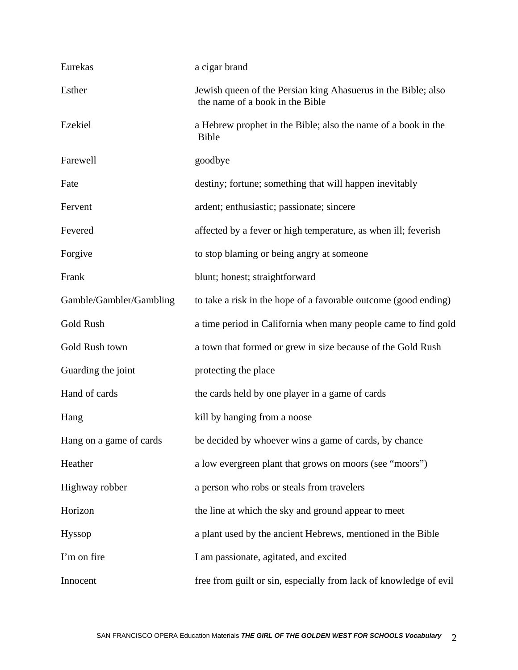| Eurekas                 | a cigar brand                                                                                    |
|-------------------------|--------------------------------------------------------------------------------------------------|
| Esther                  | Jewish queen of the Persian king Ahasuerus in the Bible; also<br>the name of a book in the Bible |
| Ezekiel                 | a Hebrew prophet in the Bible; also the name of a book in the<br><b>Bible</b>                    |
| Farewell                | goodbye                                                                                          |
| Fate                    | destiny; fortune; something that will happen inevitably                                          |
| Fervent                 | ardent; enthusiastic; passionate; sincere                                                        |
| Fevered                 | affected by a fever or high temperature, as when ill; feverish                                   |
| Forgive                 | to stop blaming or being angry at someone                                                        |
| Frank                   | blunt; honest; straightforward                                                                   |
| Gamble/Gambler/Gambling | to take a risk in the hope of a favorable outcome (good ending)                                  |
| Gold Rush               | a time period in California when many people came to find gold                                   |
| Gold Rush town          | a town that formed or grew in size because of the Gold Rush                                      |
| Guarding the joint      | protecting the place                                                                             |
| Hand of cards           | the cards held by one player in a game of cards                                                  |
| Hang                    | kill by hanging from a noose                                                                     |
| Hang on a game of cards | be decided by whoever wins a game of cards, by chance                                            |
| Heather                 | a low evergreen plant that grows on moors (see "moors")                                          |
| Highway robber          | a person who robs or steals from travelers                                                       |
| Horizon                 | the line at which the sky and ground appear to meet                                              |
| Hyssop                  | a plant used by the ancient Hebrews, mentioned in the Bible                                      |
| I'm on fire             | I am passionate, agitated, and excited                                                           |
| Innocent                | free from guilt or sin, especially from lack of knowledge of evil                                |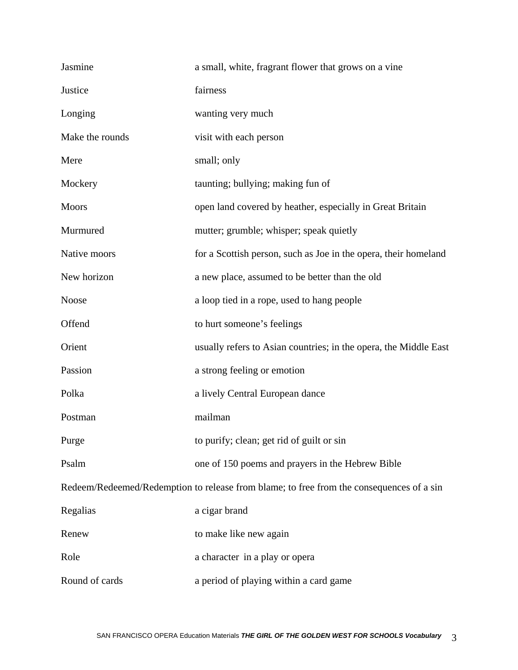| Jasmine                                                                                  | a small, white, fragrant flower that grows on a vine             |  |
|------------------------------------------------------------------------------------------|------------------------------------------------------------------|--|
| Justice                                                                                  | fairness                                                         |  |
| Longing                                                                                  | wanting very much                                                |  |
| Make the rounds                                                                          | visit with each person                                           |  |
| Mere                                                                                     | small; only                                                      |  |
| Mockery                                                                                  | taunting; bullying; making fun of                                |  |
| <b>Moors</b>                                                                             | open land covered by heather, especially in Great Britain        |  |
| Murmured                                                                                 | mutter; grumble; whisper; speak quietly                          |  |
| Native moors                                                                             | for a Scottish person, such as Joe in the opera, their homeland  |  |
| New horizon                                                                              | a new place, assumed to be better than the old                   |  |
| <b>Noose</b>                                                                             | a loop tied in a rope, used to hang people                       |  |
| Offend                                                                                   | to hurt someone's feelings                                       |  |
| Orient                                                                                   | usually refers to Asian countries; in the opera, the Middle East |  |
| Passion                                                                                  | a strong feeling or emotion                                      |  |
| Polka                                                                                    | a lively Central European dance                                  |  |
| Postman                                                                                  | mailman                                                          |  |
| Purge                                                                                    | to purify; clean; get rid of guilt or sin                        |  |
| Psalm                                                                                    | one of 150 poems and prayers in the Hebrew Bible                 |  |
| Redeem/Redeemed/Redemption to release from blame; to free from the consequences of a sin |                                                                  |  |
| Regalias                                                                                 | a cigar brand                                                    |  |
| Renew                                                                                    | to make like new again                                           |  |
| Role                                                                                     | a character in a play or opera                                   |  |
| Round of cards                                                                           | a period of playing within a card game                           |  |